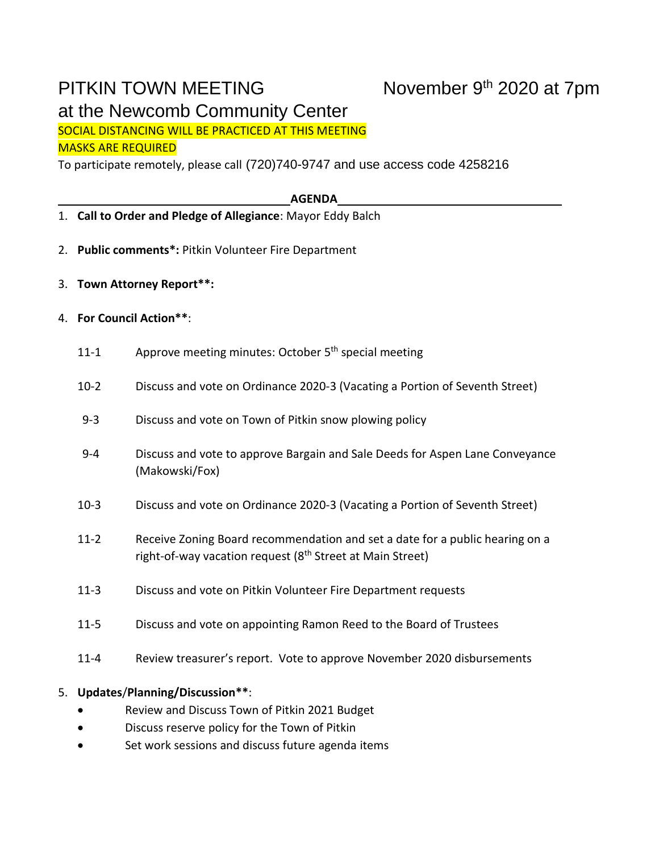# PITKIN TOWN MEETING at the Newcomb Community Center

SOCIAL DISTANCING WILL BE PRACTICED AT THIS MEETING MASKS ARE REQUIRED

To participate remotely, please call (720)740-9747 and use access code 4258216

### **AGENDA**

- 1. **Call to Order and Pledge of Allegiance**: Mayor Eddy Balch
- 2. **Public comments\*:** Pitkin Volunteer Fire Department
- 3. **Town Attorney Report\*\*:**
- 4. **For Council Action\*\***:
	- 11-1 Approve meeting minutes: October 5<sup>th</sup> special meeting
	- 10-2 Discuss and vote on Ordinance 2020-3 (Vacating a Portion of Seventh Street)
	- 9-3 Discuss and vote on Town of Pitkin snow plowing policy
	- 9-4 Discuss and vote to approve Bargain and Sale Deeds for Aspen Lane Conveyance (Makowski/Fox)
	- 10-3 Discuss and vote on Ordinance 2020-3 (Vacating a Portion of Seventh Street)
	- 11-2 Receive Zoning Board recommendation and set a date for a public hearing on a right-of-way vacation request (8<sup>th</sup> Street at Main Street)
	- 11-3 Discuss and vote on Pitkin Volunteer Fire Department requests
	- 11-5 Discuss and vote on appointing Ramon Reed to the Board of Trustees
	- 11-4 Review treasurer's report. Vote to approve November 2020 disbursements

## 5. **Updates**/**Planning/Discussion\*\***:

- Review and Discuss Town of Pitkin 2021 Budget
- Discuss reserve policy for the Town of Pitkin
- Set work sessions and discuss future agenda items